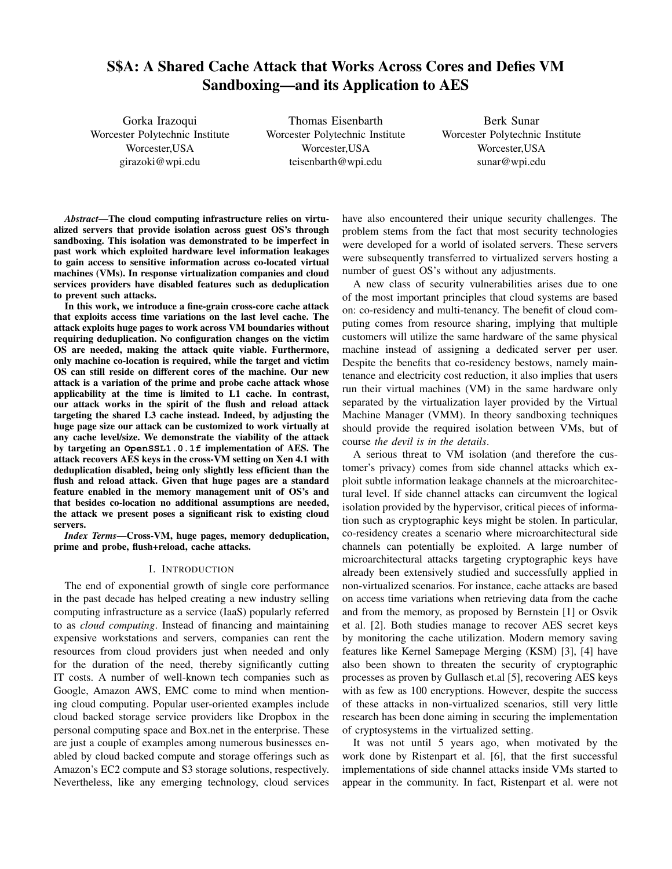# S\$A: A Shared Cache Attack that Works Across Cores and Defies VM Sandboxing—and its Application to AES

Gorka Irazoqui Worcester Polytechnic Institute Worcester,USA girazoki@wpi.edu

Thomas Eisenbarth Worcester Polytechnic Institute Worcester,USA teisenbarth@wpi.edu

Berk Sunar Worcester Polytechnic Institute Worcester,USA sunar@wpi.edu

*Abstract*—The cloud computing infrastructure relies on virtualized servers that provide isolation across guest OS's through sandboxing. This isolation was demonstrated to be imperfect in past work which exploited hardware level information leakages to gain access to sensitive information across co-located virtual machines (VMs). In response virtualization companies and cloud services providers have disabled features such as deduplication to prevent such attacks.

In this work, we introduce a fine-grain cross-core cache attack that exploits access time variations on the last level cache. The attack exploits huge pages to work across VM boundaries without requiring deduplication. No configuration changes on the victim OS are needed, making the attack quite viable. Furthermore, only machine co-location is required, while the target and victim OS can still reside on different cores of the machine. Our new attack is a variation of the prime and probe cache attack whose applicability at the time is limited to L1 cache. In contrast, our attack works in the spirit of the flush and reload attack targeting the shared L3 cache instead. Indeed, by adjusting the huge page size our attack can be customized to work virtually at any cache level/size. We demonstrate the viability of the attack by targeting an **OpenSSL1.0.1f** implementation of AES. The attack recovers AES keys in the cross-VM setting on Xen 4.1 with deduplication disabled, being only slightly less efficient than the flush and reload attack. Given that huge pages are a standard feature enabled in the memory management unit of OS's and that besides co-location no additional assumptions are needed, the attack we present poses a significant risk to existing cloud servers.

*Index Terms*—Cross-VM, huge pages, memory deduplication, prime and probe, flush+reload, cache attacks.

#### I. INTRODUCTION

The end of exponential growth of single core performance in the past decade has helped creating a new industry selling computing infrastructure as a service (IaaS) popularly referred to as *cloud computing*. Instead of financing and maintaining expensive workstations and servers, companies can rent the resources from cloud providers just when needed and only for the duration of the need, thereby significantly cutting IT costs. A number of well-known tech companies such as Google, Amazon AWS, EMC come to mind when mentioning cloud computing. Popular user-oriented examples include cloud backed storage service providers like Dropbox in the personal computing space and Box.net in the enterprise. These are just a couple of examples among numerous businesses enabled by cloud backed compute and storage offerings such as Amazon's EC2 compute and S3 storage solutions, respectively. Nevertheless, like any emerging technology, cloud services

have also encountered their unique security challenges. The problem stems from the fact that most security technologies were developed for a world of isolated servers. These servers were subsequently transferred to virtualized servers hosting a number of guest OS's without any adjustments.

A new class of security vulnerabilities arises due to one of the most important principles that cloud systems are based on: co-residency and multi-tenancy. The benefit of cloud computing comes from resource sharing, implying that multiple customers will utilize the same hardware of the same physical machine instead of assigning a dedicated server per user. Despite the benefits that co-residency bestows, namely maintenance and electricity cost reduction, it also implies that users run their virtual machines (VM) in the same hardware only separated by the virtualization layer provided by the Virtual Machine Manager (VMM). In theory sandboxing techniques should provide the required isolation between VMs, but of course *the devil is in the details*.

A serious threat to VM isolation (and therefore the customer's privacy) comes from side channel attacks which exploit subtle information leakage channels at the microarchitectural level. If side channel attacks can circumvent the logical isolation provided by the hypervisor, critical pieces of information such as cryptographic keys might be stolen. In particular, co-residency creates a scenario where microarchitectural side channels can potentially be exploited. A large number of microarchitectural attacks targeting cryptographic keys have already been extensively studied and successfully applied in non-virtualized scenarios. For instance, cache attacks are based on access time variations when retrieving data from the cache and from the memory, as proposed by Bernstein [1] or Osvik et al. [2]. Both studies manage to recover AES secret keys by monitoring the cache utilization. Modern memory saving features like Kernel Samepage Merging (KSM) [3], [4] have also been shown to threaten the security of cryptographic processes as proven by Gullasch et.al [5], recovering AES keys with as few as 100 encryptions. However, despite the success of these attacks in non-virtualized scenarios, still very little research has been done aiming in securing the implementation of cryptosystems in the virtualized setting.

It was not until 5 years ago, when motivated by the work done by Ristenpart et al. [6], that the first successful implementations of side channel attacks inside VMs started to appear in the community. In fact, Ristenpart et al. were not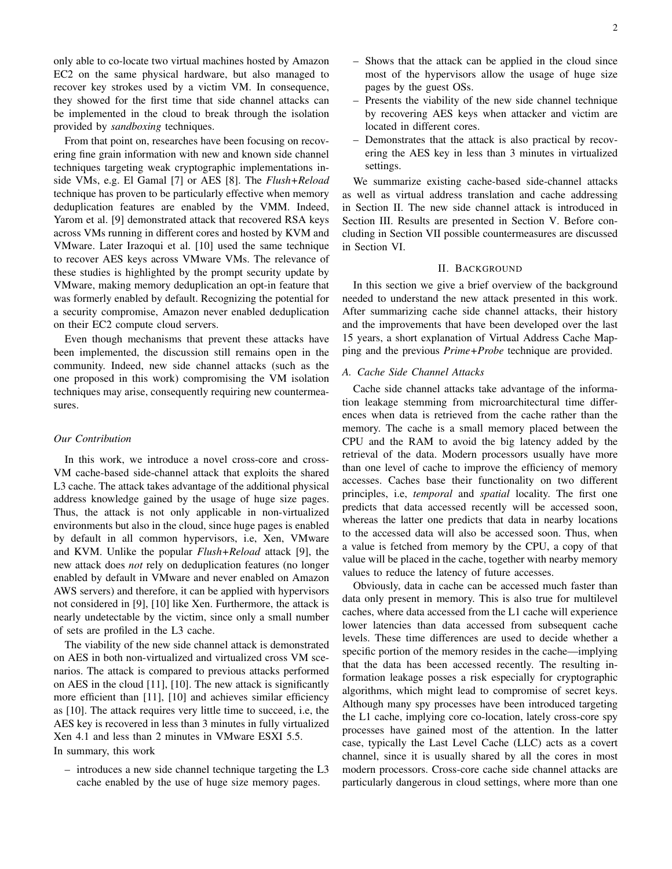only able to co-locate two virtual machines hosted by Amazon EC2 on the same physical hardware, but also managed to recover key strokes used by a victim VM. In consequence, they showed for the first time that side channel attacks can be implemented in the cloud to break through the isolation provided by *sandboxing* techniques.

From that point on, researches have been focusing on recovering fine grain information with new and known side channel techniques targeting weak cryptographic implementations inside VMs, e.g. El Gamal [7] or AES [8]. The *Flush+Reload* technique has proven to be particularly effective when memory deduplication features are enabled by the VMM. Indeed, Yarom et al. [9] demonstrated attack that recovered RSA keys across VMs running in different cores and hosted by KVM and VMware. Later Irazoqui et al. [10] used the same technique to recover AES keys across VMware VMs. The relevance of these studies is highlighted by the prompt security update by VMware, making memory deduplication an opt-in feature that was formerly enabled by default. Recognizing the potential for a security compromise, Amazon never enabled deduplication on their EC2 compute cloud servers.

Even though mechanisms that prevent these attacks have been implemented, the discussion still remains open in the community. Indeed, new side channel attacks (such as the one proposed in this work) compromising the VM isolation techniques may arise, consequently requiring new countermeasures.

### *Our Contribution*

In this work, we introduce a novel cross-core and cross-VM cache-based side-channel attack that exploits the shared L3 cache. The attack takes advantage of the additional physical address knowledge gained by the usage of huge size pages. Thus, the attack is not only applicable in non-virtualized environments but also in the cloud, since huge pages is enabled by default in all common hypervisors, i.e, Xen, VMware and KVM. Unlike the popular *Flush+Reload* attack [9], the new attack does *not* rely on deduplication features (no longer enabled by default in VMware and never enabled on Amazon AWS servers) and therefore, it can be applied with hypervisors not considered in [9], [10] like Xen. Furthermore, the attack is nearly undetectable by the victim, since only a small number of sets are profiled in the L3 cache.

The viability of the new side channel attack is demonstrated on AES in both non-virtualized and virtualized cross VM scenarios. The attack is compared to previous attacks performed on AES in the cloud [11], [10]. The new attack is significantly more efficient than [11], [10] and achieves similar efficiency as [10]. The attack requires very little time to succeed, i.e, the AES key is recovered in less than 3 minutes in fully virtualized Xen 4.1 and less than 2 minutes in VMware ESXI 5.5. In summary, this work

– introduces a new side channel technique targeting the L3 cache enabled by the use of huge size memory pages.

- Shows that the attack can be applied in the cloud since most of the hypervisors allow the usage of huge size pages by the guest OSs.
- Presents the viability of the new side channel technique by recovering AES keys when attacker and victim are located in different cores.
- Demonstrates that the attack is also practical by recovering the AES key in less than 3 minutes in virtualized settings.

We summarize existing cache-based side-channel attacks as well as virtual address translation and cache addressing in Section II. The new side channel attack is introduced in Section III. Results are presented in Section V. Before concluding in Section VII possible countermeasures are discussed in Section VI.

#### II. BACKGROUND

In this section we give a brief overview of the background needed to understand the new attack presented in this work. After summarizing cache side channel attacks, their history and the improvements that have been developed over the last 15 years, a short explanation of Virtual Address Cache Mapping and the previous *Prime+Probe* technique are provided.

#### *A. Cache Side Channel Attacks*

Cache side channel attacks take advantage of the information leakage stemming from microarchitectural time differences when data is retrieved from the cache rather than the memory. The cache is a small memory placed between the CPU and the RAM to avoid the big latency added by the retrieval of the data. Modern processors usually have more than one level of cache to improve the efficiency of memory accesses. Caches base their functionality on two different principles, i.e, *temporal* and *spatial* locality. The first one predicts that data accessed recently will be accessed soon, whereas the latter one predicts that data in nearby locations to the accessed data will also be accessed soon. Thus, when a value is fetched from memory by the CPU, a copy of that value will be placed in the cache, together with nearby memory values to reduce the latency of future accesses.

Obviously, data in cache can be accessed much faster than data only present in memory. This is also true for multilevel caches, where data accessed from the L1 cache will experience lower latencies than data accessed from subsequent cache levels. These time differences are used to decide whether a specific portion of the memory resides in the cache—implying that the data has been accessed recently. The resulting information leakage posses a risk especially for cryptographic algorithms, which might lead to compromise of secret keys. Although many spy processes have been introduced targeting the L1 cache, implying core co-location, lately cross-core spy processes have gained most of the attention. In the latter case, typically the Last Level Cache (LLC) acts as a covert channel, since it is usually shared by all the cores in most modern processors. Cross-core cache side channel attacks are particularly dangerous in cloud settings, where more than one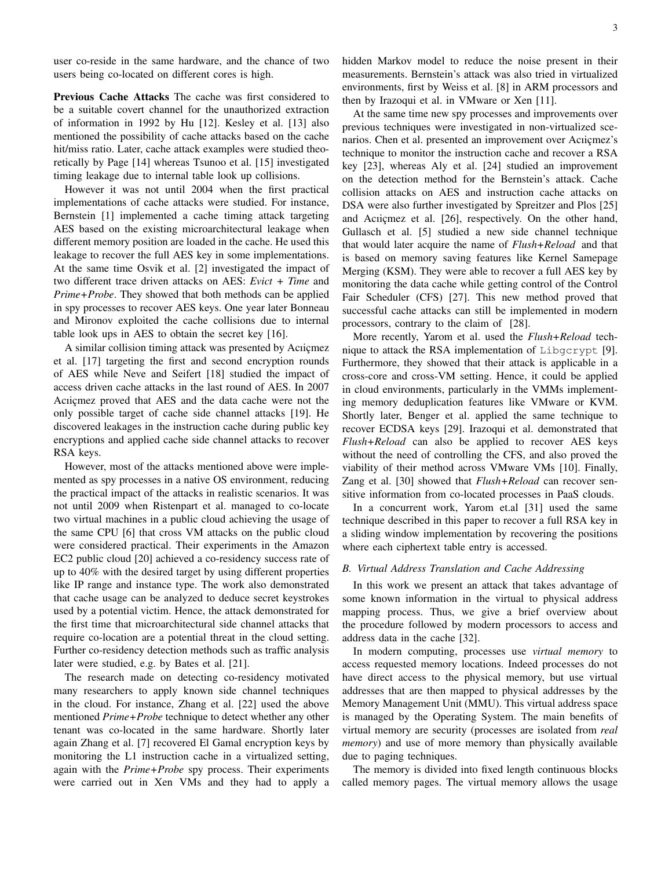user co-reside in the same hardware, and the chance of two users being co-located on different cores is high.

Previous Cache Attacks The cache was first considered to be a suitable covert channel for the unauthorized extraction of information in 1992 by Hu [12]. Kesley et al. [13] also mentioned the possibility of cache attacks based on the cache hit/miss ratio. Later, cache attack examples were studied theoretically by Page [14] whereas Tsunoo et al. [15] investigated timing leakage due to internal table look up collisions.

However it was not until 2004 when the first practical implementations of cache attacks were studied. For instance, Bernstein [1] implemented a cache timing attack targeting AES based on the existing microarchitectural leakage when different memory position are loaded in the cache. He used this leakage to recover the full AES key in some implementations. At the same time Osvik et al. [2] investigated the impact of two different trace driven attacks on AES: *Evict + Time* and *Prime+Probe*. They showed that both methods can be applied in spy processes to recover AES keys. One year later Bonneau and Mironov exploited the cache collisions due to internal table look ups in AES to obtain the secret key [16].

A similar collision timing attack was presented by Acıiçmez et al. [17] targeting the first and second encryption rounds of AES while Neve and Seifert [18] studied the impact of access driven cache attacks in the last round of AES. In 2007 Acıiçmez proved that AES and the data cache were not the only possible target of cache side channel attacks [19]. He discovered leakages in the instruction cache during public key encryptions and applied cache side channel attacks to recover RSA keys.

However, most of the attacks mentioned above were implemented as spy processes in a native OS environment, reducing the practical impact of the attacks in realistic scenarios. It was not until 2009 when Ristenpart et al. managed to co-locate two virtual machines in a public cloud achieving the usage of the same CPU [6] that cross VM attacks on the public cloud were considered practical. Their experiments in the Amazon EC2 public cloud [20] achieved a co-residency success rate of up to 40% with the desired target by using different properties like IP range and instance type. The work also demonstrated that cache usage can be analyzed to deduce secret keystrokes used by a potential victim. Hence, the attack demonstrated for the first time that microarchitectural side channel attacks that require co-location are a potential threat in the cloud setting. Further co-residency detection methods such as traffic analysis later were studied, e.g. by Bates et al. [21].

The research made on detecting co-residency motivated many researchers to apply known side channel techniques in the cloud. For instance, Zhang et al. [22] used the above mentioned *Prime+Probe* technique to detect whether any other tenant was co-located in the same hardware. Shortly later again Zhang et al. [7] recovered El Gamal encryption keys by monitoring the L1 instruction cache in a virtualized setting, again with the *Prime+Probe* spy process. Their experiments were carried out in Xen VMs and they had to apply a hidden Markov model to reduce the noise present in their measurements. Bernstein's attack was also tried in virtualized environments, first by Weiss et al. [8] in ARM processors and then by Irazoqui et al. in VMware or Xen [11].

At the same time new spy processes and improvements over previous techniques were investigated in non-virtualized scenarios. Chen et al. presented an improvement over Acıiçmez's technique to monitor the instruction cache and recover a RSA key [23], whereas Aly et al. [24] studied an improvement on the detection method for the Bernstein's attack. Cache collision attacks on AES and instruction cache attacks on DSA were also further investigated by Spreitzer and Plos [25] and Acıiçmez et al. [26], respectively. On the other hand, Gullasch et al. [5] studied a new side channel technique that would later acquire the name of *Flush+Reload* and that is based on memory saving features like Kernel Samepage Merging (KSM). They were able to recover a full AES key by monitoring the data cache while getting control of the Control Fair Scheduler (CFS) [27]. This new method proved that successful cache attacks can still be implemented in modern processors, contrary to the claim of [28].

More recently, Yarom et al. used the *Flush+Reload* technique to attack the RSA implementation of Libgcrypt [9]. Furthermore, they showed that their attack is applicable in a cross-core and cross-VM setting. Hence, it could be applied in cloud environments, particularly in the VMMs implementing memory deduplication features like VMware or KVM. Shortly later, Benger et al. applied the same technique to recover ECDSA keys [29]. Irazoqui et al. demonstrated that *Flush+Reload* can also be applied to recover AES keys without the need of controlling the CFS, and also proved the viability of their method across VMware VMs [10]. Finally, Zang et al. [30] showed that *Flush+Reload* can recover sensitive information from co-located processes in PaaS clouds.

In a concurrent work, Yarom et.al [31] used the same technique described in this paper to recover a full RSA key in a sliding window implementation by recovering the positions where each ciphertext table entry is accessed.

# *B. Virtual Address Translation and Cache Addressing*

In this work we present an attack that takes advantage of some known information in the virtual to physical address mapping process. Thus, we give a brief overview about the procedure followed by modern processors to access and address data in the cache [32].

In modern computing, processes use *virtual memory* to access requested memory locations. Indeed processes do not have direct access to the physical memory, but use virtual addresses that are then mapped to physical addresses by the Memory Management Unit (MMU). This virtual address space is managed by the Operating System. The main benefits of virtual memory are security (processes are isolated from *real memory*) and use of more memory than physically available due to paging techniques.

The memory is divided into fixed length continuous blocks called memory pages. The virtual memory allows the usage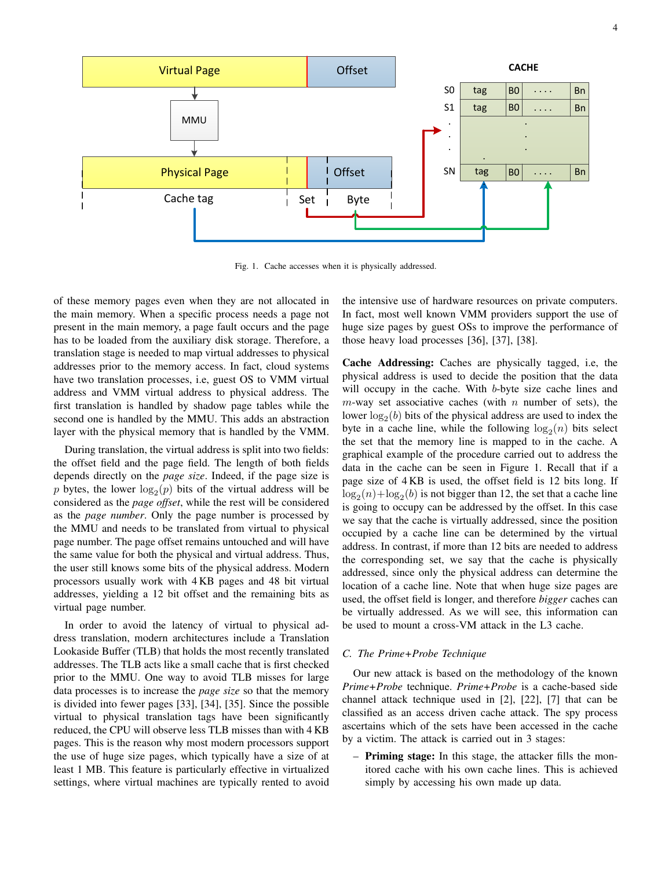4



Fig. 1. Cache accesses when it is physically addressed.

of these memory pages even when they are not allocated in the main memory. When a specific process needs a page not present in the main memory, a page fault occurs and the page has to be loaded from the auxiliary disk storage. Therefore, a translation stage is needed to map virtual addresses to physical addresses prior to the memory access. In fact, cloud systems have two translation processes, i.e, guest OS to VMM virtual address and VMM virtual address to physical address. The first translation is handled by shadow page tables while the second one is handled by the MMU. This adds an abstraction layer with the physical memory that is handled by the VMM.

During translation, the virtual address is split into two fields: the offset field and the page field. The length of both fields depends directly on the *page size*. Indeed, if the page size is  $p$  bytes, the lower  $log_2(p)$  bits of the virtual address will be considered as the *page offset*, while the rest will be considered as the *page number*. Only the page number is processed by the MMU and needs to be translated from virtual to physical page number. The page offset remains untouched and will have the same value for both the physical and virtual address. Thus, the user still knows some bits of the physical address. Modern processors usually work with 4 KB pages and 48 bit virtual addresses, yielding a 12 bit offset and the remaining bits as virtual page number.

In order to avoid the latency of virtual to physical address translation, modern architectures include a Translation Lookaside Buffer (TLB) that holds the most recently translated addresses. The TLB acts like a small cache that is first checked prior to the MMU. One way to avoid TLB misses for large data processes is to increase the *page size* so that the memory is divided into fewer pages [33], [34], [35]. Since the possible virtual to physical translation tags have been significantly reduced, the CPU will observe less TLB misses than with 4 KB pages. This is the reason why most modern processors support the use of huge size pages, which typically have a size of at least 1 MB. This feature is particularly effective in virtualized settings, where virtual machines are typically rented to avoid the intensive use of hardware resources on private computers. In fact, most well known VMM providers support the use of huge size pages by guest OSs to improve the performance of those heavy load processes [36], [37], [38].

Cache Addressing: Caches are physically tagged, i.e, the physical address is used to decide the position that the data will occupy in the cache. With *b*-byte size cache lines and *m*-way set associative caches (with *n* number of sets), the lower  $log_2(b)$  bits of the physical address are used to index the byte in a cache line, while the following  $log_2(n)$  bits select the set that the memory line is mapped to in the cache. A graphical example of the procedure carried out to address the data in the cache can be seen in Figure 1. Recall that if a page size of 4 KB is used, the offset field is 12 bits long. If  $log_2(n) + log_2(b)$  is not bigger than 12, the set that a cache line is going to occupy can be addressed by the offset. In this case we say that the cache is virtually addressed, since the position occupied by a cache line can be determined by the virtual address. In contrast, if more than 12 bits are needed to address the corresponding set, we say that the cache is physically addressed, since only the physical address can determine the location of a cache line. Note that when huge size pages are used, the offset field is longer, and therefore *bigger* caches can be virtually addressed. As we will see, this information can be used to mount a cross-VM attack in the L3 cache.

#### *C. The Prime+Probe Technique*

Our new attack is based on the methodology of the known *Prime+Probe* technique. *Prime+Probe* is a cache-based side channel attack technique used in [2], [22], [7] that can be classified as an access driven cache attack. The spy process ascertains which of the sets have been accessed in the cache by a victim. The attack is carried out in 3 stages:

– Priming stage: In this stage, the attacker fills the monitored cache with his own cache lines. This is achieved simply by accessing his own made up data.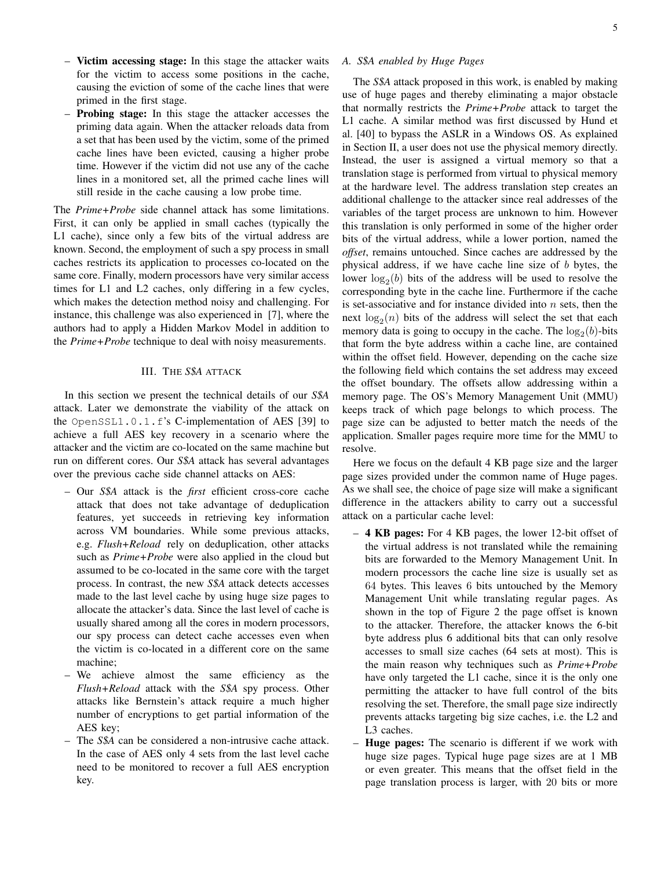- Victim accessing stage: In this stage the attacker waits for the victim to access some positions in the cache, causing the eviction of some of the cache lines that were primed in the first stage.
- Probing stage: In this stage the attacker accesses the priming data again. When the attacker reloads data from a set that has been used by the victim, some of the primed cache lines have been evicted, causing a higher probe time. However if the victim did not use any of the cache lines in a monitored set, all the primed cache lines will still reside in the cache causing a low probe time.

The *Prime+Probe* side channel attack has some limitations. First, it can only be applied in small caches (typically the L1 cache), since only a few bits of the virtual address are known. Second, the employment of such a spy process in small caches restricts its application to processes co-located on the same core. Finally, modern processors have very similar access times for L1 and L2 caches, only differing in a few cycles, which makes the detection method noisy and challenging. For instance, this challenge was also experienced in [7], where the authors had to apply a Hidden Markov Model in addition to the *Prime+Probe* technique to deal with noisy measurements.

# III. THE *S\$A* ATTACK

In this section we present the technical details of our *S\$A* attack. Later we demonstrate the viability of the attack on the OpenSSL1.0.1.f's C-implementation of AES [39] to achieve a full AES key recovery in a scenario where the attacker and the victim are co-located on the same machine but run on different cores. Our *S\$A* attack has several advantages over the previous cache side channel attacks on AES:

- Our *S\$A* attack is the *first* efficient cross-core cache attack that does not take advantage of deduplication features, yet succeeds in retrieving key information across VM boundaries. While some previous attacks, e.g. *Flush+Reload* rely on deduplication, other attacks such as *Prime+Probe* were also applied in the cloud but assumed to be co-located in the same core with the target process. In contrast, the new *S\$A* attack detects accesses made to the last level cache by using huge size pages to allocate the attacker's data. Since the last level of cache is usually shared among all the cores in modern processors, our spy process can detect cache accesses even when the victim is co-located in a different core on the same machine;
- We achieve almost the same efficiency as the *Flush+Reload* attack with the *S\$A* spy process. Other attacks like Bernstein's attack require a much higher number of encryptions to get partial information of the AES key;
- The *S\$A* can be considered a non-intrusive cache attack. In the case of AES only 4 sets from the last level cache need to be monitored to recover a full AES encryption key.

# *A. S\$A enabled by Huge Pages*

The *S\$A* attack proposed in this work, is enabled by making use of huge pages and thereby eliminating a major obstacle that normally restricts the *Prime+Probe* attack to target the L1 cache. A similar method was first discussed by Hund et al. [40] to bypass the ASLR in a Windows OS. As explained in Section II, a user does not use the physical memory directly. Instead, the user is assigned a virtual memory so that a translation stage is performed from virtual to physical memory at the hardware level. The address translation step creates an additional challenge to the attacker since real addresses of the variables of the target process are unknown to him. However this translation is only performed in some of the higher order bits of the virtual address, while a lower portion, named the *offset*, remains untouched. Since caches are addressed by the physical address, if we have cache line size of *b* bytes, the lower  $log_2(b)$  bits of the address will be used to resolve the corresponding byte in the cache line. Furthermore if the cache is set-associative and for instance divided into *n* sets, then the next  $log_2(n)$  bits of the address will select the set that each memory data is going to occupy in the cache. The  $\log_2(b)$ -bits that form the byte address within a cache line, are contained within the offset field. However, depending on the cache size the following field which contains the set address may exceed the offset boundary. The offsets allow addressing within a memory page. The OS's Memory Management Unit (MMU) keeps track of which page belongs to which process. The page size can be adjusted to better match the needs of the application. Smaller pages require more time for the MMU to resolve.

Here we focus on the default 4 KB page size and the larger page sizes provided under the common name of Huge pages. As we shall see, the choice of page size will make a significant difference in the attackers ability to carry out a successful attack on a particular cache level:

- 4 KB pages: For 4 KB pages, the lower 12-bit offset of the virtual address is not translated while the remaining bits are forwarded to the Memory Management Unit. In modern processors the cache line size is usually set as 64 bytes. This leaves 6 bits untouched by the Memory Management Unit while translating regular pages. As shown in the top of Figure 2 the page offset is known to the attacker. Therefore, the attacker knows the 6-bit byte address plus 6 additional bits that can only resolve accesses to small size caches (64 sets at most). This is the main reason why techniques such as *Prime+Probe* have only targeted the L1 cache, since it is the only one permitting the attacker to have full control of the bits resolving the set. Therefore, the small page size indirectly prevents attacks targeting big size caches, i.e. the L2 and L3 caches.
- Huge pages: The scenario is different if we work with huge size pages. Typical huge page sizes are at 1 MB or even greater. This means that the offset field in the page translation process is larger, with 20 bits or more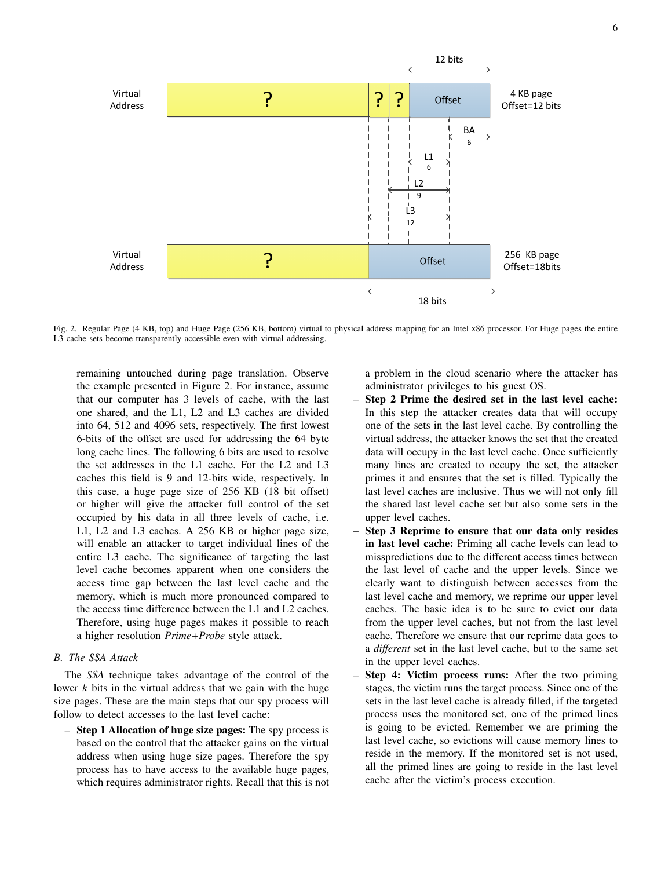

Fig. 2. Regular Page (4 KB, top) and Huge Page (256 KB, bottom) virtual to physical address mapping for an Intel x86 processor. For Huge pages the entire L3 cache sets become transparently accessible even with virtual addressing.

remaining untouched during page translation. Observe the example presented in Figure 2. For instance, assume that our computer has 3 levels of cache, with the last one shared, and the L1, L2 and L3 caches are divided into 64, 512 and 4096 sets, respectively. The first lowest 6-bits of the offset are used for addressing the 64 byte long cache lines. The following 6 bits are used to resolve the set addresses in the L1 cache. For the L2 and L3 caches this field is 9 and 12-bits wide, respectively. In this case, a huge page size of 256 KB (18 bit offset) or higher will give the attacker full control of the set occupied by his data in all three levels of cache, i.e. L1, L2 and L3 caches. A 256 KB or higher page size, will enable an attacker to target individual lines of the entire L3 cache. The significance of targeting the last level cache becomes apparent when one considers the access time gap between the last level cache and the memory, which is much more pronounced compared to the access time difference between the L1 and L2 caches. Therefore, using huge pages makes it possible to reach a higher resolution *Prime+Probe* style attack.

# *B. The S\$A Attack*

The *S\$A* technique takes advantage of the control of the lower *k* bits in the virtual address that we gain with the huge size pages. These are the main steps that our spy process will follow to detect accesses to the last level cache:

– Step 1 Allocation of huge size pages: The spy process is based on the control that the attacker gains on the virtual address when using huge size pages. Therefore the spy process has to have access to the available huge pages, which requires administrator rights. Recall that this is not a problem in the cloud scenario where the attacker has administrator privileges to his guest OS.

- Step 2 Prime the desired set in the last level cache: In this step the attacker creates data that will occupy one of the sets in the last level cache. By controlling the virtual address, the attacker knows the set that the created data will occupy in the last level cache. Once sufficiently many lines are created to occupy the set, the attacker primes it and ensures that the set is filled. Typically the last level caches are inclusive. Thus we will not only fill the shared last level cache set but also some sets in the upper level caches.
- Step 3 Reprime to ensure that our data only resides in last level cache: Priming all cache levels can lead to misspredictions due to the different access times between the last level of cache and the upper levels. Since we clearly want to distinguish between accesses from the last level cache and memory, we reprime our upper level caches. The basic idea is to be sure to evict our data from the upper level caches, but not from the last level cache. Therefore we ensure that our reprime data goes to a *different* set in the last level cache, but to the same set in the upper level caches.
- Step 4: Victim process runs: After the two priming stages, the victim runs the target process. Since one of the sets in the last level cache is already filled, if the targeted process uses the monitored set, one of the primed lines is going to be evicted. Remember we are priming the last level cache, so evictions will cause memory lines to reside in the memory. If the monitored set is not used, all the primed lines are going to reside in the last level cache after the victim's process execution.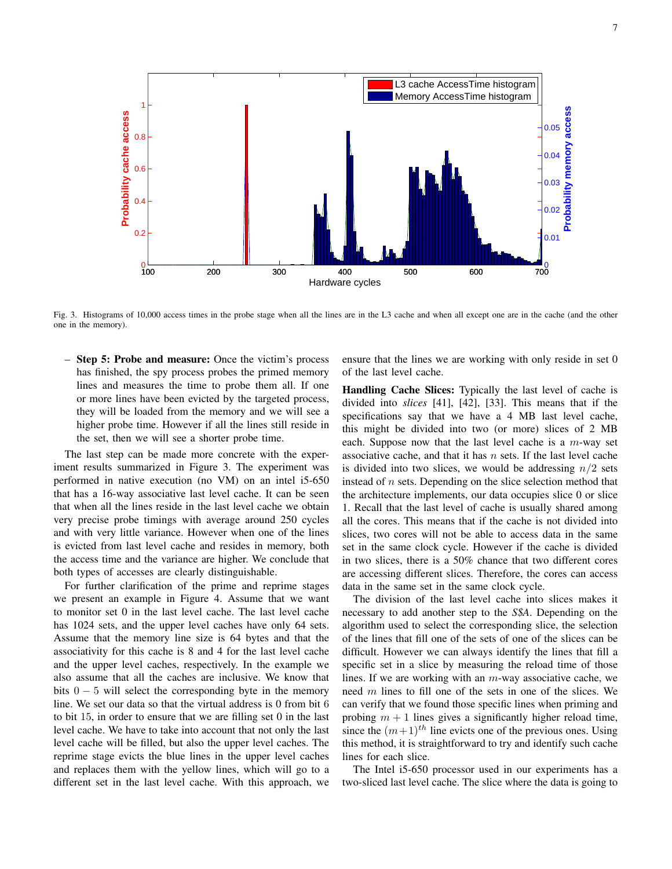

Fig. 3. Histograms of 10,000 access times in the probe stage when all the lines are in the L3 cache and when all except one are in the cache (and the other one in the memory).

– Step 5: Probe and measure: Once the victim's process has finished, the spy process probes the primed memory lines and measures the time to probe them all. If one or more lines have been evicted by the targeted process, they will be loaded from the memory and we will see a higher probe time. However if all the lines still reside in the set, then we will see a shorter probe time.

The last step can be made more concrete with the experiment results summarized in Figure 3. The experiment was performed in native execution (no VM) on an intel i5-650 that has a 16-way associative last level cache. It can be seen that when all the lines reside in the last level cache we obtain very precise probe timings with average around 250 cycles and with very little variance. However when one of the lines is evicted from last level cache and resides in memory, both the access time and the variance are higher. We conclude that both types of accesses are clearly distinguishable.

For further clarification of the prime and reprime stages we present an example in Figure 4. Assume that we want to monitor set 0 in the last level cache. The last level cache has 1024 sets, and the upper level caches have only 64 sets. Assume that the memory line size is 64 bytes and that the associativity for this cache is 8 and 4 for the last level cache and the upper level caches, respectively. In the example we also assume that all the caches are inclusive. We know that bits 0 *−* 5 will select the corresponding byte in the memory line. We set our data so that the virtual address is 0 from bit 6 to bit 15, in order to ensure that we are filling set 0 in the last level cache. We have to take into account that not only the last level cache will be filled, but also the upper level caches. The reprime stage evicts the blue lines in the upper level caches and replaces them with the yellow lines, which will go to a different set in the last level cache. With this approach, we

ensure that the lines we are working with only reside in set 0 of the last level cache.

Handling Cache Slices: Typically the last level of cache is divided into *slices* [41], [42], [33]. This means that if the specifications say that we have a 4 MB last level cache, this might be divided into two (or more) slices of 2 MB each. Suppose now that the last level cache is a *m*-way set associative cache, and that it has *n* sets. If the last level cache is divided into two slices, we would be addressing *n/*2 sets instead of *n* sets. Depending on the slice selection method that the architecture implements, our data occupies slice 0 or slice 1. Recall that the last level of cache is usually shared among all the cores. This means that if the cache is not divided into slices, two cores will not be able to access data in the same set in the same clock cycle. However if the cache is divided in two slices, there is a 50% chance that two different cores are accessing different slices. Therefore, the cores can access data in the same set in the same clock cycle.

The division of the last level cache into slices makes it necessary to add another step to the *S\$A*. Depending on the algorithm used to select the corresponding slice, the selection of the lines that fill one of the sets of one of the slices can be difficult. However we can always identify the lines that fill a specific set in a slice by measuring the reload time of those lines. If we are working with an *m*-way associative cache, we need *m* lines to fill one of the sets in one of the slices. We can verify that we found those specific lines when priming and probing  $m + 1$  lines gives a significantly higher reload time, since the  $(m+1)^{th}$  line evicts one of the previous ones. Using this method, it is straightforward to try and identify such cache lines for each slice.

The Intel i5-650 processor used in our experiments has a two-sliced last level cache. The slice where the data is going to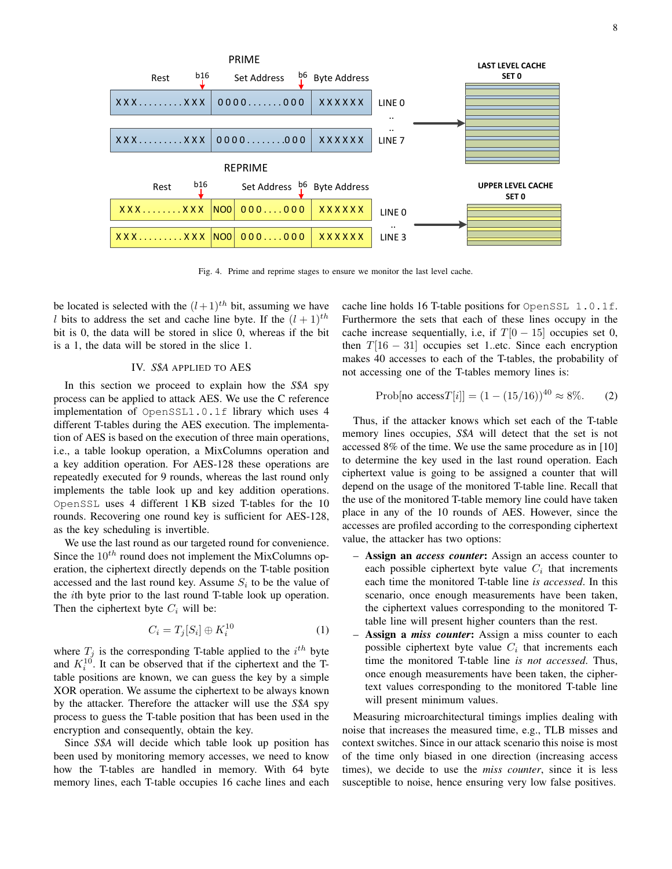

Fig. 4. Prime and reprime stages to ensure we monitor the last level cache.

be located is selected with the  $(l+1)$ <sup>th</sup> bit, assuming we have *l* bits to address the set and cache line byte. If the  $(l + 1)$ <sup>th</sup> bit is 0, the data will be stored in slice 0, whereas if the bit is a 1, the data will be stored in the slice 1.

### IV. *S\$A* APPLIED TO AES

In this section we proceed to explain how the *S\$A* spy process can be applied to attack AES. We use the C reference implementation of OpenSSL1.0.1f library which uses 4 different T-tables during the AES execution. The implementation of AES is based on the execution of three main operations, i.e., a table lookup operation, a MixColumns operation and a key addition operation. For AES-128 these operations are repeatedly executed for 9 rounds, whereas the last round only implements the table look up and key addition operations. OpenSSL uses 4 different 1 KB sized T-tables for the 10 rounds. Recovering one round key is sufficient for AES-128, as the key scheduling is invertible.

We use the last round as our targeted round for convenience. Since the  $10^{th}$  round does not implement the MixColumns operation, the ciphertext directly depends on the T-table position accessed and the last round key. Assume  $S_i$  to be the value of the *i*th byte prior to the last round T-table look up operation. Then the ciphertext byte  $C_i$  will be:

$$
C_i = T_j[S_i] \oplus K_i^{10} \tag{1}
$$

where  $T_j$  is the corresponding T-table applied to the  $i^{th}$  byte and  $K_i^{10}$ . It can be observed that if the ciphertext and the Ttable positions are known, we can guess the key by a simple XOR operation. We assume the ciphertext to be always known by the attacker. Therefore the attacker will use the *S\$A* spy process to guess the T-table position that has been used in the encryption and consequently, obtain the key.

Since *S\$A* will decide which table look up position has been used by monitoring memory accesses, we need to know how the T-tables are handled in memory. With 64 byte memory lines, each T-table occupies 16 cache lines and each cache line holds 16 T-table positions for OpenSSL 1.0.1f. Furthermore the sets that each of these lines occupy in the cache increase sequentially, i.e, if  $T[0 - 15]$  occupies set 0, then  $T[16 - 31]$  occupies set 1..etc. Since each encryption makes 40 accesses to each of the T-tables, the probability of not accessing one of the T-tables memory lines is:

$$
Prob[no access T[i]] = (1 - (15/16))^{40} \approx 8\%.
$$
 (2)

Thus, if the attacker knows which set each of the T-table memory lines occupies, *S\$A* will detect that the set is not accessed 8% of the time. We use the same procedure as in [10] to determine the key used in the last round operation. Each ciphertext value is going to be assigned a counter that will depend on the usage of the monitored T-table line. Recall that the use of the monitored T-table memory line could have taken place in any of the 10 rounds of AES. However, since the accesses are profiled according to the corresponding ciphertext value, the attacker has two options:

- Assign an *access counter*: Assign an access counter to each possible ciphertext byte value  $C_i$  that increments each time the monitored T-table line *is accessed*. In this scenario, once enough measurements have been taken, the ciphertext values corresponding to the monitored Ttable line will present higher counters than the rest.
- Assign a *miss counter*: Assign a miss counter to each possible ciphertext byte value  $C_i$  that increments each time the monitored T-table line *is not accessed*. Thus, once enough measurements have been taken, the ciphertext values corresponding to the monitored T-table line will present minimum values.

Measuring microarchitectural timings implies dealing with noise that increases the measured time, e.g., TLB misses and context switches. Since in our attack scenario this noise is most of the time only biased in one direction (increasing access times), we decide to use the *miss counter*, since it is less susceptible to noise, hence ensuring very low false positives.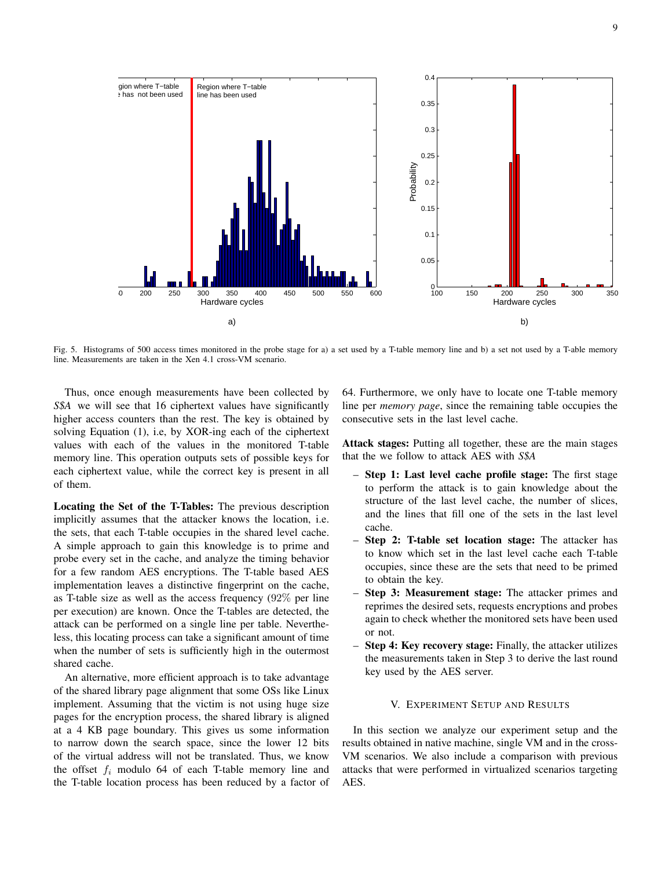

Fig. 5. Histograms of 500 access times monitored in the probe stage for a) a set used by a T-table memory line and b) a set not used by a T-able memory line. Measurements are taken in the Xen 4.1 cross-VM scenario.

Thus, once enough measurements have been collected by *S\$A* we will see that 16 ciphertext values have significantly higher access counters than the rest. The key is obtained by solving Equation (1), i.e, by XOR-ing each of the ciphertext values with each of the values in the monitored T-table memory line. This operation outputs sets of possible keys for each ciphertext value, while the correct key is present in all of them.

Locating the Set of the T-Tables: The previous description implicitly assumes that the attacker knows the location, i.e. the sets, that each T-table occupies in the shared level cache. A simple approach to gain this knowledge is to prime and probe every set in the cache, and analyze the timing behavior for a few random AES encryptions. The T-table based AES implementation leaves a distinctive fingerprint on the cache, as T-table size as well as the access frequency (92% per line per execution) are known. Once the T-tables are detected, the attack can be performed on a single line per table. Nevertheless, this locating process can take a significant amount of time when the number of sets is sufficiently high in the outermost shared cache.

An alternative, more efficient approach is to take advantage of the shared library page alignment that some OSs like Linux implement. Assuming that the victim is not using huge size pages for the encryption process, the shared library is aligned at a 4 KB page boundary. This gives us some information to narrow down the search space, since the lower 12 bits of the virtual address will not be translated. Thus, we know the offset  $f_i$  modulo 64 of each T-table memory line and the T-table location process has been reduced by a factor of 64. Furthermore, we only have to locate one T-table memory line per *memory page*, since the remaining table occupies the consecutive sets in the last level cache.

Attack stages: Putting all together, these are the main stages that the we follow to attack AES with *S\$A*

- Step 1: Last level cache profile stage: The first stage to perform the attack is to gain knowledge about the structure of the last level cache, the number of slices, and the lines that fill one of the sets in the last level cache.
- Step 2: T-table set location stage: The attacker has to know which set in the last level cache each T-table occupies, since these are the sets that need to be primed to obtain the key.
- **Step 3: Measurement stage:** The attacker primes and reprimes the desired sets, requests encryptions and probes again to check whether the monitored sets have been used or not.
- Step 4: Key recovery stage: Finally, the attacker utilizes the measurements taken in Step 3 to derive the last round key used by the AES server.

## V. EXPERIMENT SETUP AND RESULTS

In this section we analyze our experiment setup and the results obtained in native machine, single VM and in the cross-VM scenarios. We also include a comparison with previous attacks that were performed in virtualized scenarios targeting AES.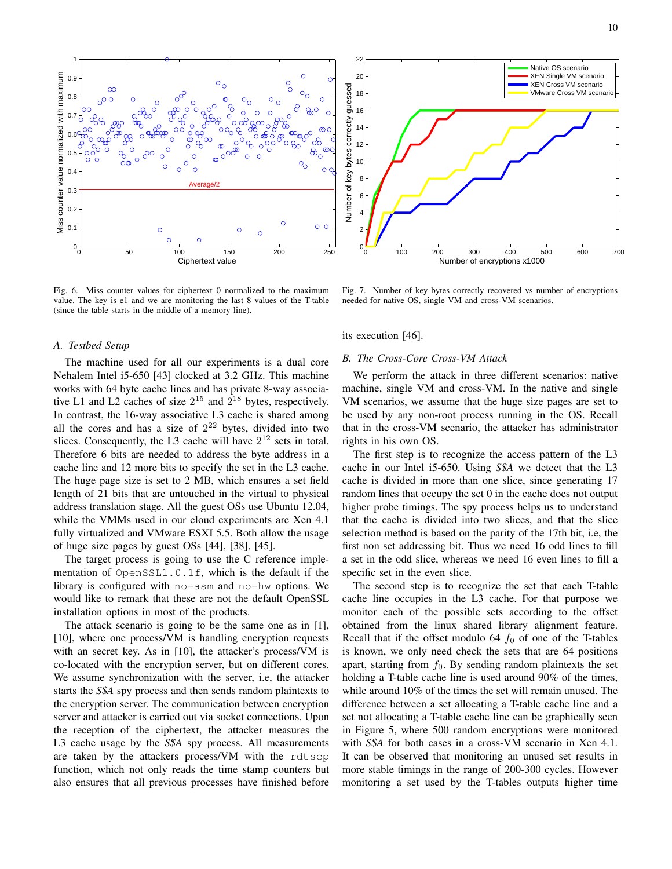Native OS scenario XEN Single VM scenario XEN Cross VM scenario VMware Cross VM scenari

Fig. 7. Number of key bytes correctly recovered vs number of encryptions needed for native OS, single VM and cross-VM scenarios.

*A. Testbed Setup*

The machine used for all our experiments is a dual core Nehalem Intel i5-650 [43] clocked at 3.2 GHz. This machine works with 64 byte cache lines and has private 8-way associative L1 and L2 caches of size  $2^{15}$  and  $2^{18}$  bytes, respectively. In contrast, the 16-way associative L3 cache is shared among all the cores and has a size of  $2^{22}$  bytes, divided into two slices. Consequently, the L3 cache will have  $2^{12}$  sets in total. Therefore 6 bits are needed to address the byte address in a cache line and 12 more bits to specify the set in the L3 cache. The huge page size is set to 2 MB, which ensures a set field length of 21 bits that are untouched in the virtual to physical address translation stage. All the guest OSs use Ubuntu 12.04, while the VMMs used in our cloud experiments are Xen 4.1 fully virtualized and VMware ESXI 5.5. Both allow the usage of huge size pages by guest OSs [44], [38], [45].

The target process is going to use the C reference implementation of OpenSSL1.0.1f, which is the default if the library is configured with no-asm and no-hw options. We would like to remark that these are not the default OpenSSL installation options in most of the products.

The attack scenario is going to be the same one as in [1], [10], where one process/VM is handling encryption requests with an secret key. As in [10], the attacker's process/VM is co-located with the encryption server, but on different cores. We assume synchronization with the server, i.e, the attacker starts the *S\$A* spy process and then sends random plaintexts to the encryption server. The communication between encryption server and attacker is carried out via socket connections. Upon the reception of the ciphertext, the attacker measures the L3 cache usage by the *S\$A* spy process. All measurements are taken by the attackers process/VM with the rdtscp function, which not only reads the time stamp counters but also ensures that all previous processes have finished before its execution [46].

14 16 18  $\overline{2}$  $2<sup>2</sup>$ 

guessed

#### *B. The Cross-Core Cross-VM Attack*

We perform the attack in three different scenarios: native machine, single VM and cross-VM. In the native and single VM scenarios, we assume that the huge size pages are set to be used by any non-root process running in the OS. Recall that in the cross-VM scenario, the attacker has administrator rights in his own OS.

The first step is to recognize the access pattern of the L3 cache in our Intel i5-650. Using *S\$A* we detect that the L3 cache is divided in more than one slice, since generating 17 random lines that occupy the set 0 in the cache does not output higher probe timings. The spy process helps us to understand that the cache is divided into two slices, and that the slice selection method is based on the parity of the 17th bit, i.e, the first non set addressing bit. Thus we need 16 odd lines to fill a set in the odd slice, whereas we need 16 even lines to fill a specific set in the even slice.

The second step is to recognize the set that each T-table cache line occupies in the L3 cache. For that purpose we monitor each of the possible sets according to the offset obtained from the linux shared library alignment feature. Recall that if the offset modulo  $64 f_0$  of one of the T-tables is known, we only need check the sets that are 64 positions apart, starting from  $f_0$ . By sending random plaintexts the set holding a T-table cache line is used around 90% of the times, while around 10% of the times the set will remain unused. The difference between a set allocating a T-table cache line and a set not allocating a T-table cache line can be graphically seen in Figure 5, where 500 random encryptions were monitored with *S\$A* for both cases in a cross-VM scenario in Xen 4.1. It can be observed that monitoring an unused set results in more stable timings in the range of 200-300 cycles. However monitoring a set used by the T-tables outputs higher time





Fig. 6. Miss counter values for ciphertext 0 normalized to the maximum value. The key is e1 and we are monitoring the last 8 values of the T-table

(since the table starts in the middle of a memory line).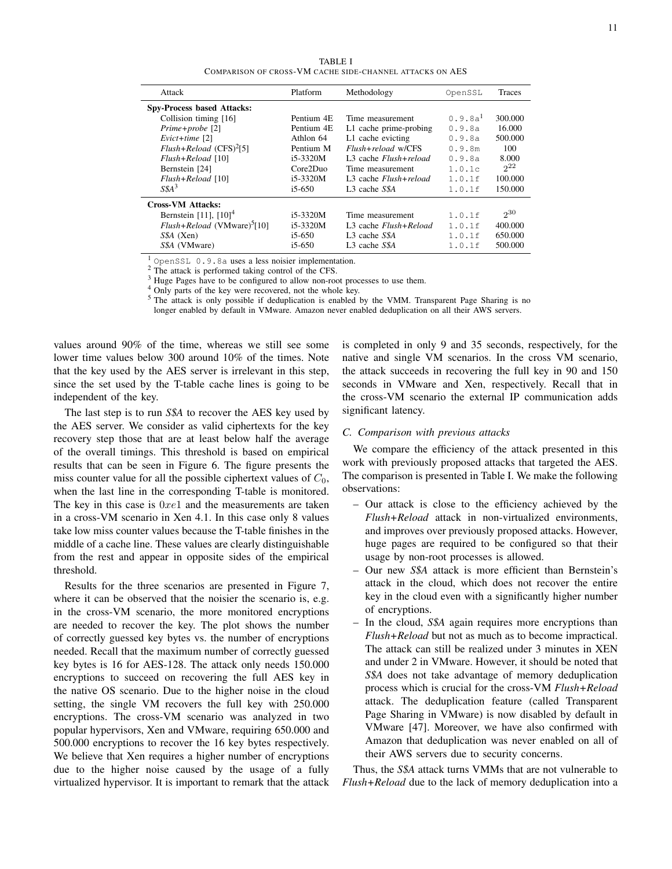TABLE I COMPARISON OF CROSS-VM CACHE SIDE-CHANNEL ATTACKS ON AES

| Attack                                  | Platform             | Methodology                                       | OpenSSL      | <b>Traces</b> |
|-----------------------------------------|----------------------|---------------------------------------------------|--------------|---------------|
| <b>Spy-Process based Attacks:</b>       |                      |                                                   |              |               |
| Collision timing [16]                   | Pentium 4E           | Time measurement                                  | $0.9.8a^{1}$ | 300.000       |
| Prime+probe [2]                         | Pentium 4E           | L1 cache prime-probing                            | 0.9.8a       | 16.000        |
| $Evict+time$ [2]                        | Athlon 64            | L1 cache evicting                                 | 0.9.8a       | 500.000       |
| $Flush+Reload$ (CFS) <sup>2</sup> [5]   | Pentium M            | $Flush + reload$ w/CFS                            | 0.9.8m       | 100           |
| $Flush+Reload$ [10]                     | $i5-3320M$           | L <sub>3</sub> cache <i>Flush+reload</i>          | 0.9.8a       | 8.000         |
| Bernstein [24]                          | Core2Du <sub>0</sub> | Time measurement                                  | 1.0.1c       | $2^{22}$      |
| $Flush+Reload$ [10]                     | $i5-3320M$           | L <sub>3</sub> cache <i>Flush+reload</i>          | 1.0.1f       | 100.000       |
| SSA <sup>3</sup>                        | $i5-650$             | L3 cache S\$A                                     | 1.0.1f       | 150.000       |
| <b>Cross-VM Attacks:</b>                |                      |                                                   |              |               |
| Bernstein [11], $[10]$ <sup>4</sup>     | $i5-3320M$           | Time measurement                                  | 1.0.1f       | $2^{30}$      |
| Flush+Reload (VMware) <sup>5</sup> [10] | $i5-3320M$           | L <sub>3</sub> cache <i>Flush</i> + <i>Reload</i> | 1.0.1f       | 400.000       |
| $S\$ A} (Xen)                           | $i5-650$             | L3 cache S\$A                                     | 1.0.1f       | 650,000       |
| S\$A (VMware)                           | $i5-650$             | L3 cache S\$A                                     | 1.0.1f       | 500.000       |

<sup>1</sup> OpenSSL 0.9.8a uses a less noisier implementation.

<sup>2</sup> The attack is performed taking control of the CFS.

<sup>3</sup> Huge Pages have to be configured to allow non-root processes to use them.

<sup>4</sup> Only parts of the key were recovered, not the whole key.

<sup>5</sup> The attack is only possible if deduplication is enabled by the VMM. Transparent Page Sharing is no longer enabled by default in VMware. Amazon never enabled deduplication on all their AWS servers.

values around 90% of the time, whereas we still see some lower time values below 300 around 10% of the times. Note that the key used by the AES server is irrelevant in this step, since the set used by the T-table cache lines is going to be independent of the key.

The last step is to run *S\$A* to recover the AES key used by the AES server. We consider as valid ciphertexts for the key recovery step those that are at least below half the average of the overall timings. This threshold is based on empirical results that can be seen in Figure 6. The figure presents the miss counter value for all the possible ciphertext values of  $C_0$ , when the last line in the corresponding T-table is monitored. The key in this case is 0*xe*1 and the measurements are taken in a cross-VM scenario in Xen 4.1. In this case only 8 values take low miss counter values because the T-table finishes in the middle of a cache line. These values are clearly distinguishable from the rest and appear in opposite sides of the empirical threshold.

Results for the three scenarios are presented in Figure 7, where it can be observed that the noisier the scenario is, e.g. in the cross-VM scenario, the more monitored encryptions are needed to recover the key. The plot shows the number of correctly guessed key bytes vs. the number of encryptions needed. Recall that the maximum number of correctly guessed key bytes is 16 for AES-128. The attack only needs 150.000 encryptions to succeed on recovering the full AES key in the native OS scenario. Due to the higher noise in the cloud setting, the single VM recovers the full key with 250.000 encryptions. The cross-VM scenario was analyzed in two popular hypervisors, Xen and VMware, requiring 650.000 and 500.000 encryptions to recover the 16 key bytes respectively. We believe that Xen requires a higher number of encryptions due to the higher noise caused by the usage of a fully virtualized hypervisor. It is important to remark that the attack is completed in only 9 and 35 seconds, respectively, for the native and single VM scenarios. In the cross VM scenario, the attack succeeds in recovering the full key in 90 and 150 seconds in VMware and Xen, respectively. Recall that in the cross-VM scenario the external IP communication adds significant latency.

## *C. Comparison with previous attacks*

We compare the efficiency of the attack presented in this work with previously proposed attacks that targeted the AES. The comparison is presented in Table I. We make the following observations:

- Our attack is close to the efficiency achieved by the *Flush+Reload* attack in non-virtualized environments, and improves over previously proposed attacks. However, huge pages are required to be configured so that their usage by non-root processes is allowed.
- Our new *S\$A* attack is more efficient than Bernstein's attack in the cloud, which does not recover the entire key in the cloud even with a significantly higher number of encryptions.
- In the cloud, *S\$A* again requires more encryptions than *Flush+Reload* but not as much as to become impractical. The attack can still be realized under 3 minutes in XEN and under 2 in VMware. However, it should be noted that *S\$A* does not take advantage of memory deduplication process which is crucial for the cross-VM *Flush+Reload* attack. The deduplication feature (called Transparent Page Sharing in VMware) is now disabled by default in VMware [47]. Moreover, we have also confirmed with Amazon that deduplication was never enabled on all of their AWS servers due to security concerns.

Thus, the *S\$A* attack turns VMMs that are not vulnerable to *Flush+Reload* due to the lack of memory deduplication into a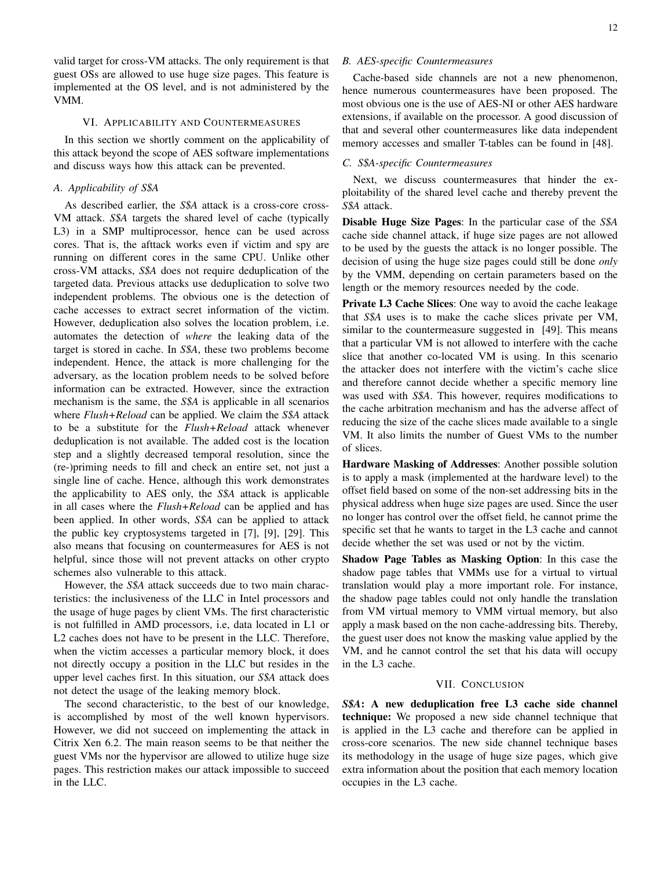valid target for cross-VM attacks. The only requirement is that guest OSs are allowed to use huge size pages. This feature is implemented at the OS level, and is not administered by the VMM.

# VI. APPLICABILITY AND COUNTERMEASURES

In this section we shortly comment on the applicability of this attack beyond the scope of AES software implementations and discuss ways how this attack can be prevented.

# *A. Applicability of S\$A*

As described earlier, the *S\$A* attack is a cross-core cross-VM attack. *S\$A* targets the shared level of cache (typically L3) in a SMP multiprocessor, hence can be used across cores. That is, the afttack works even if victim and spy are running on different cores in the same CPU. Unlike other cross-VM attacks, *S\$A* does not require deduplication of the targeted data. Previous attacks use deduplication to solve two independent problems. The obvious one is the detection of cache accesses to extract secret information of the victim. However, deduplication also solves the location problem, i.e. automates the detection of *where* the leaking data of the target is stored in cache. In *S\$A*, these two problems become independent. Hence, the attack is more challenging for the adversary, as the location problem needs to be solved before information can be extracted. However, since the extraction mechanism is the same, the *S\$A* is applicable in all scenarios where *Flush+Reload* can be applied. We claim the *S\$A* attack to be a substitute for the *Flush+Reload* attack whenever deduplication is not available. The added cost is the location step and a slightly decreased temporal resolution, since the (re-)priming needs to fill and check an entire set, not just a single line of cache. Hence, although this work demonstrates the applicability to AES only, the *S\$A* attack is applicable in all cases where the *Flush+Reload* can be applied and has been applied. In other words, *S\$A* can be applied to attack the public key cryptosystems targeted in [7], [9], [29]. This also means that focusing on countermeasures for AES is not helpful, since those will not prevent attacks on other crypto schemes also vulnerable to this attack.

However, the *S\$A* attack succeeds due to two main characteristics: the inclusiveness of the LLC in Intel processors and the usage of huge pages by client VMs. The first characteristic is not fulfilled in AMD processors, i.e, data located in L1 or L2 caches does not have to be present in the LLC. Therefore, when the victim accesses a particular memory block, it does not directly occupy a position in the LLC but resides in the upper level caches first. In this situation, our *S\$A* attack does not detect the usage of the leaking memory block.

The second characteristic, to the best of our knowledge, is accomplished by most of the well known hypervisors. However, we did not succeed on implementing the attack in Citrix Xen 6.2. The main reason seems to be that neither the guest VMs nor the hypervisor are allowed to utilize huge size pages. This restriction makes our attack impossible to succeed in the LLC.

# *B. AES-specific Countermeasures*

Cache-based side channels are not a new phenomenon, hence numerous countermeasures have been proposed. The most obvious one is the use of AES-NI or other AES hardware extensions, if available on the processor. A good discussion of that and several other countermeasures like data independent memory accesses and smaller T-tables can be found in [48].

#### *C. S\$A-specific Countermeasures*

Next, we discuss countermeasures that hinder the exploitability of the shared level cache and thereby prevent the *S\$A* attack.

Disable Huge Size Pages: In the particular case of the *S\$A* cache side channel attack, if huge size pages are not allowed to be used by the guests the attack is no longer possible. The decision of using the huge size pages could still be done *only* by the VMM, depending on certain parameters based on the length or the memory resources needed by the code.

Private L3 Cache Slices: One way to avoid the cache leakage that *S\$A* uses is to make the cache slices private per VM, similar to the countermeasure suggested in [49]. This means that a particular VM is not allowed to interfere with the cache slice that another co-located VM is using. In this scenario the attacker does not interfere with the victim's cache slice and therefore cannot decide whether a specific memory line was used with *S\$A*. This however, requires modifications to the cache arbitration mechanism and has the adverse affect of reducing the size of the cache slices made available to a single VM. It also limits the number of Guest VMs to the number of slices.

Hardware Masking of Addresses: Another possible solution is to apply a mask (implemented at the hardware level) to the offset field based on some of the non-set addressing bits in the physical address when huge size pages are used. Since the user no longer has control over the offset field, he cannot prime the specific set that he wants to target in the L3 cache and cannot decide whether the set was used or not by the victim.

Shadow Page Tables as Masking Option: In this case the shadow page tables that VMMs use for a virtual to virtual translation would play a more important role. For instance, the shadow page tables could not only handle the translation from VM virtual memory to VMM virtual memory, but also apply a mask based on the non cache-addressing bits. Thereby, the guest user does not know the masking value applied by the VM, and he cannot control the set that his data will occupy in the L3 cache.

#### VII. CONCLUSION

*S\$A*: A new deduplication free L3 cache side channel technique: We proposed a new side channel technique that is applied in the L3 cache and therefore can be applied in cross-core scenarios. The new side channel technique bases its methodology in the usage of huge size pages, which give extra information about the position that each memory location occupies in the L3 cache.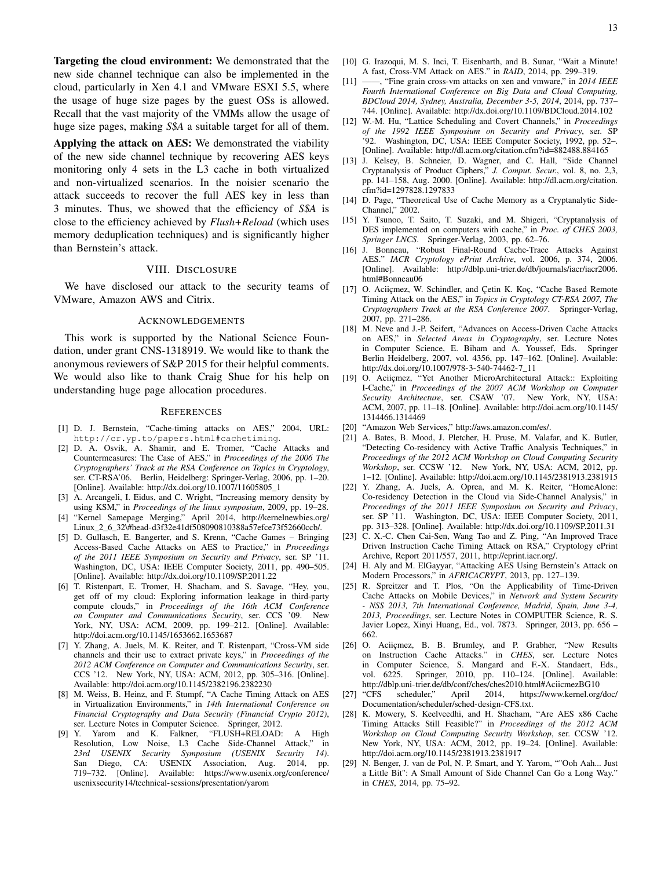Targeting the cloud environment: We demonstrated that the new side channel technique can also be implemented in the cloud, particularly in Xen 4.1 and VMware ESXI 5.5, where the usage of huge size pages by the guest OSs is allowed. Recall that the vast majority of the VMMs allow the usage of huge size pages, making *S\$A* a suitable target for all of them.

Applying the attack on AES: We demonstrated the viability of the new side channel technique by recovering AES keys monitoring only 4 sets in the L3 cache in both virtualized and non-virtualized scenarios. In the noisier scenario the attack succeeds to recover the full AES key in less than 3 minutes. Thus, we showed that the efficiency of *S\$A* is close to the efficiency achieved by *Flush+Reload* (which uses memory deduplication techniques) and is significantly higher than Bernstein's attack.

#### VIII. DISCLOSURE

We have disclosed our attack to the security teams of VMware, Amazon AWS and Citrix.

#### ACKNOWLEDGEMENTS

This work is supported by the National Science Foundation, under grant CNS-1318919. We would like to thank the anonymous reviewers of S&P 2015 for their helpful comments. We would also like to thank Craig Shue for his help on understanding huge page allocation procedures.

#### **REFERENCES**

- [1] D. J. Bernstein, "Cache-timing attacks on AES," 2004, URL: http://cr.yp.to/papers.html#cachetiming.
- [2] D. A. Osvik, A. Shamir, and E. Tromer, "Cache Attacks and Countermeasures: The Case of AES," in *Proceedings of the 2006 The Cryptographers' Track at the RSA Conference on Topics in Cryptology*, ser. CT-RSA'06. Berlin, Heidelberg: Springer-Verlag, 2006, pp. 1–20. [Online]. Available: http://dx.doi.org/10.1007/11605805\_1
- [3] A. Arcangeli, I. Eidus, and C. Wright, "Increasing memory density by using KSM," in *Proceedings of the linux symposium*, 2009, pp. 19–28.
- [4] "Kernel Samepage Merging," April 2014, http://kernelnewbies.org/ Linux\_2\_6\_32\#head-d3f32e41df508090810388a57efce73f52660ccb/.
- [5] D. Gullasch, E. Bangerter, and S. Krenn, "Cache Games Bringing Access-Based Cache Attacks on AES to Practice," in *Proceedings of the 2011 IEEE Symposium on Security and Privacy*, ser. SP '11. Washington, DC, USA: IEEE Computer Society, 2011, pp. 490–505. [Online]. Available: http://dx.doi.org/10.1109/SP.2011.22
- [6] T. Ristenpart, E. Tromer, H. Shacham, and S. Savage, "Hey, you, get off of my cloud: Exploring information leakage in third-party compute clouds," in *Proceedings of the 16th ACM Conference on Computer and Communications Security*, ser. CCS '09. New York, NY, USA: ACM, 2009, pp. 199–212. [Online]. Available: http://doi.acm.org/10.1145/1653662.1653687
- [7] Y. Zhang, A. Juels, M. K. Reiter, and T. Ristenpart, "Cross-VM side channels and their use to extract private keys," in *Proceedings of the 2012 ACM Conference on Computer and Communications Security*, ser. CCS '12. New York, NY, USA: ACM, 2012, pp. 305–316. [Online]. Available: http://doi.acm.org/10.1145/2382196.2382230
- [8] M. Weiss, B. Heinz, and F. Stumpf, "A Cache Timing Attack on AES in Virtualization Environments," in *14th International Conference on Financial Cryptography and Data Security (Financial Crypto 2012)*, ser. Lecture Notes in Computer Science. Springer, 2012.
- [9] Y. Yarom and K. Falkner, "FLUSH+RELOAD: A High Resolution, Low Noise, L3 Cache Side-Channel Attack," in *23rd USENIX Security Symposium (USENIX Security 14)*. San Diego, CA: USENIX Association, Aug. 2014, pp. 719–732. [Online]. Available: https://www.usenix.org/conference/ usenixsecurity14/technical-sessions/presentation/yarom
- [10] G. Irazoqui, M. S. Inci, T. Eisenbarth, and B. Sunar, "Wait a Minute! A fast, Cross-VM Attack on AES." in *RAID*, 2014, pp. 299–319.
- [11] ——, "Fine grain cross-vm attacks on xen and vmware," in *2014 IEEE Fourth International Conference on Big Data and Cloud Computing, BDCloud 2014, Sydney, Australia, December 3-5, 2014*, 2014, pp. 737– 744. [Online]. Available: http://dx.doi.org/10.1109/BDCloud.2014.102
- [12] W.-M. Hu, "Lattice Scheduling and Covert Channels," in *Proceedings of the 1992 IEEE Symposium on Security and Privacy*, ser. SP '92. Washington, DC, USA: IEEE Computer Society, 1992, pp. 52–. [Online]. Available: http://dl.acm.org/citation.cfm?id=882488.884165
- [13] J. Kelsey, B. Schneier, D. Wagner, and C. Hall, "Side Channel Cryptanalysis of Product Ciphers," *J. Comput. Secur.*, vol. 8, no. 2,3, pp. 141–158, Aug. 2000. [Online]. Available: http://dl.acm.org/citation. cfm?id=1297828.1297833
- [14] D. Page, "Theoretical Use of Cache Memory as a Cryptanalytic Side-Channel," 2002.
- [15] Y. Tsunoo, T. Saito, T. Suzaki, and M. Shigeri, "Cryptanalysis of DES implemented on computers with cache," in *Proc. of CHES 2003, Springer LNCS*. Springer-Verlag, 2003, pp. 62–76.
- [16] J. Bonneau, "Robust Final-Round Cache-Trace Attacks Against AES." *IACR Cryptology ePrint Archive*, vol. 2006, p. 374, 2006. [Online]. Available: http://dblp.uni-trier.de/db/journals/iacr/iacr2006. html#Bonneau06
- [17] O. Aciiçmez, W. Schindler, and Çetin K. Koç, "Cache Based Remote Timing Attack on the AES," in *Topics in Cryptology CT-RSA 2007, The Cryptographers Track at the RSA Conference 2007*. Springer-Verlag, 2007, pp. 271–286.
- [18] M. Neve and J.-P. Seifert, "Advances on Access-Driven Cache Attacks on AES," in *Selected Areas in Cryptography*, ser. Lecture Notes in Computer Science, E. Biham and A. Youssef, Eds. Springer Berlin Heidelberg, 2007, vol. 4356, pp. 147–162. [Online]. Available: http://dx.doi.org/10.1007/978-3-540-74462-7\_11
- [19] O. Aciiçmez, "Yet Another MicroArchitectural Attack:: Exploiting I-Cache," in *Proceedings of the 2007 ACM Workshop on Computer Security Architecture*, ser. CSAW '07. New York, NY, USA: ACM, 2007, pp. 11–18. [Online]. Available: http://doi.acm.org/10.1145/ 1314466.1314469
- [20] "Amazon Web Services," http://aws.amazon.com/es/.
- [21] A. Bates, B. Mood, J. Pletcher, H. Pruse, M. Valafar, and K. Butler, "Detecting Co-residency with Active Traffic Analysis Techniques," in *Proceedings of the 2012 ACM Workshop on Cloud Computing Security Workshop*, ser. CCSW '12. New York, NY, USA: ACM, 2012, pp. 1–12. [Online]. Available: http://doi.acm.org/10.1145/2381913.2381915
- [22] Y. Zhang, A. Juels, A. Oprea, and M. K. Reiter, "HomeAlone: Co-residency Detection in the Cloud via Side-Channel Analysis," in *Proceedings of the 2011 IEEE Symposium on Security and Privacy*, ser. SP '11. Washington, DC, USA: IEEE Computer Society, 2011, pp. 313–328. [Online]. Available: http://dx.doi.org/10.1109/SP.2011.31
- [23] C. X.-C. Chen Cai-Sen, Wang Tao and Z. Ping, "An Improved Trace Driven Instruction Cache Timing Attack on RSA," Cryptology ePrint Archive, Report 2011/557, 2011, http://eprint.iacr.org/.
- [24] H. Aly and M. ElGayyar, "Attacking AES Using Bernstein's Attack on Modern Processors," in *AFRICACRYPT*, 2013, pp. 127–139.
- [25] R. Spreitzer and T. Plos, "On the Applicability of Time-Driven Cache Attacks on Mobile Devices," in *Network and System Security - NSS 2013, 7th International Conference, Madrid, Spain, June 3-4, 2013, Proceedings*, ser. Lecture Notes in COMPUTER Science, R. S. Javier Lopez, Xinyi Huang, Ed., vol. 7873. Springer, 2013, pp. 656 – 662.
- [26] O. Aciiçmez, B. B. Brumley, and P. Grabher, "New Results on Instruction Cache Attacks." in *CHES*, ser. Lecture Notes in Computer Science, S. Mangard and F.-X. Standaert, Eds., vol. 6225. Springer, 2010, pp. 110–124. [Online]. Available: http://dblp.uni-trier.de/db/conf/ches/ches2010.html#AciicmezBG10
- [27] "CFS scheduler," April 2014, https://www.kernel.org/doc/ Documentation/scheduler/sched-design-CFS.txt.
- [28] K. Mowery, S. Keelveedhi, and H. Shacham, "Are AES x86 Cache Timing Attacks Still Feasible?" in *Proceedings of the 2012 ACM Workshop on Cloud Computing Security Workshop*, ser. CCSW '12. New York, NY, USA: ACM, 2012, pp. 19–24. [Online]. Available: http://doi.acm.org/10.1145/2381913.2381917
- [29] N. Benger, J. van de Pol, N. P. Smart, and Y. Yarom, ""Ooh Aah... Just a Little Bit": A Small Amount of Side Channel Can Go a Long Way." in *CHES*, 2014, pp. 75–92.